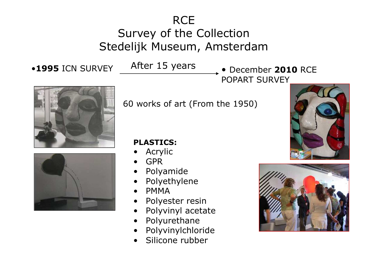## **RCE** Survey of the Collection<br>delijk Museum, Amsterc Stedelijk Museum, Amsterdam

After 15 years

•1995 ICN SURVEY **ALLET 15 years** • December 2010 RCE POPART SURVEY





60 works of art (From the 1950)

## **PLASTICS:**

- Acrylic<br>GPR •
- •GPR
- •Polyamide
- •Polyethylene<br>PMMA
- •PMMA<br>Polves
- •Polyester resin<br>Polyvinyl aceta
- •Polyvinyl acetate
- •Polyurethane
- •Polyvinylchloride
- •Silicone rubber



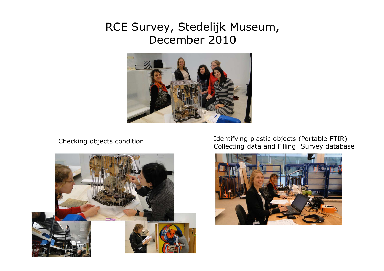## RCE Survey, Stedelijk Museum, December 2010



Checking objects condition



Identifying plastic objects (Portable FTIR) Collecting data and Filling Survey database